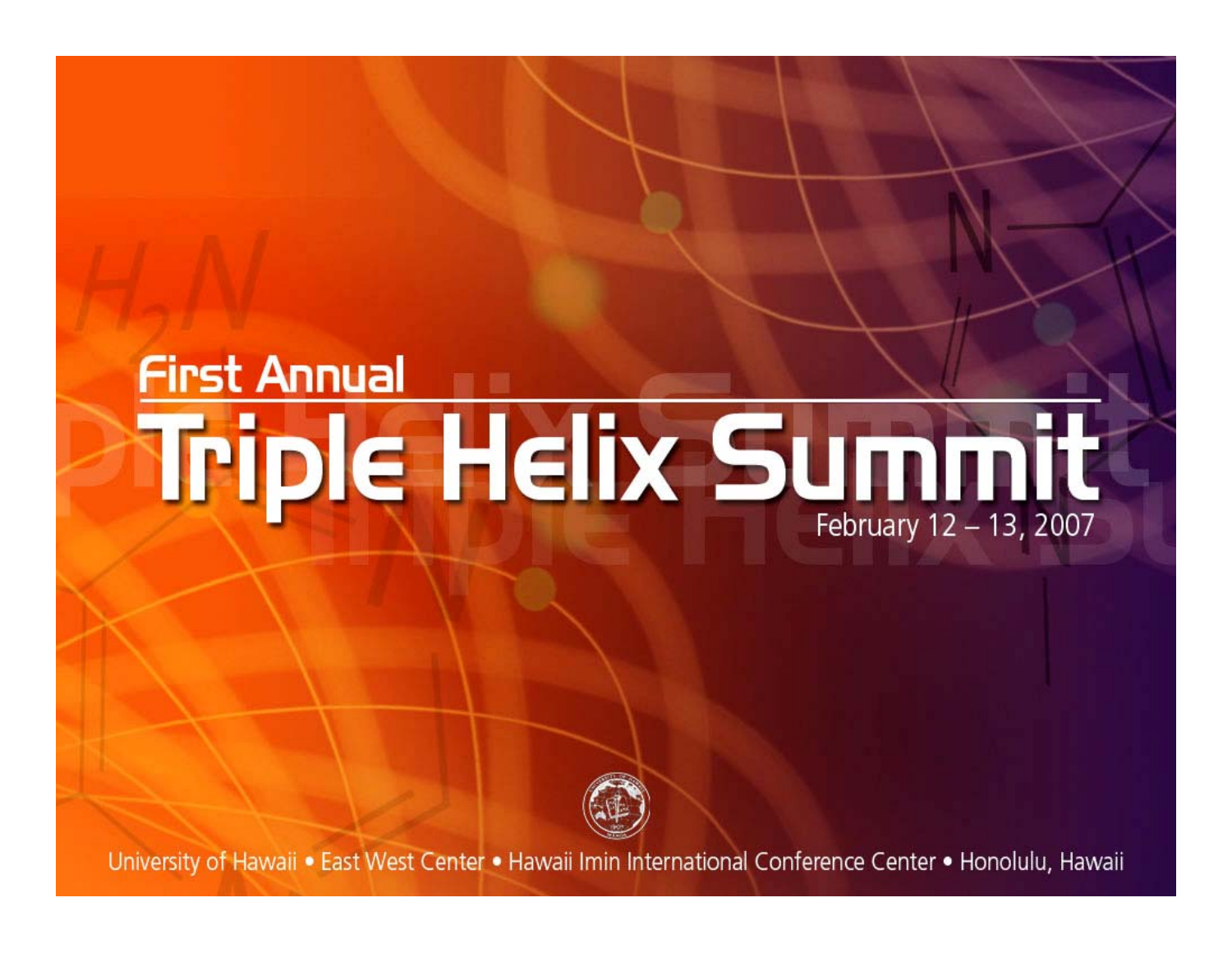### **First Annual** Triple Helix Summit February 12 - 13, 2007



University of Hawaii . East West Center . Hawaii Imin International Conference Center . Honolulu, Hawaii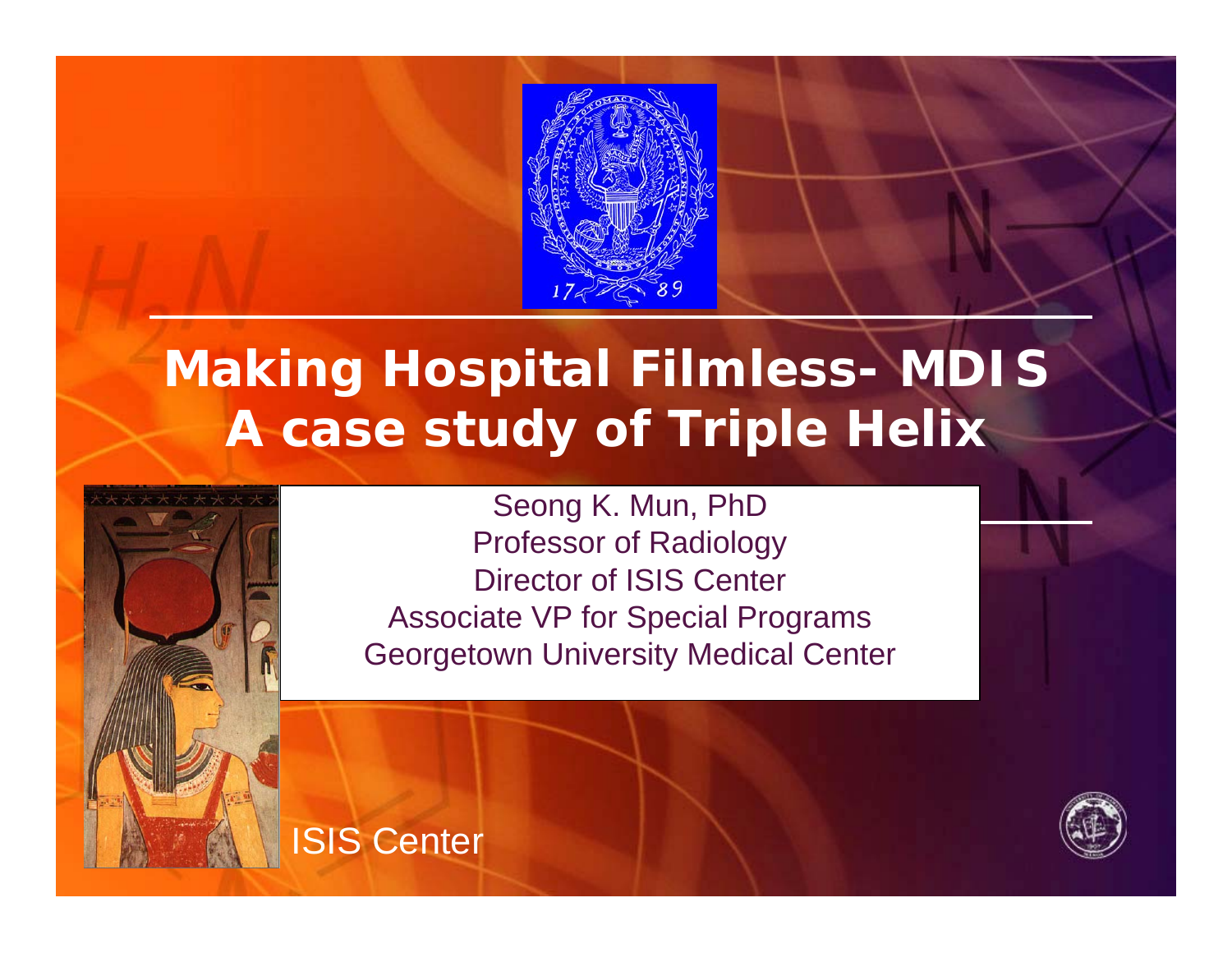

### **Making Hospital Filmless- MDIS A case study of Triple Helix**



Seong K. Mun, PhD Professor of Radiology Director of ISIS Center Associate VP for Special Programs Georgetown University Medical Center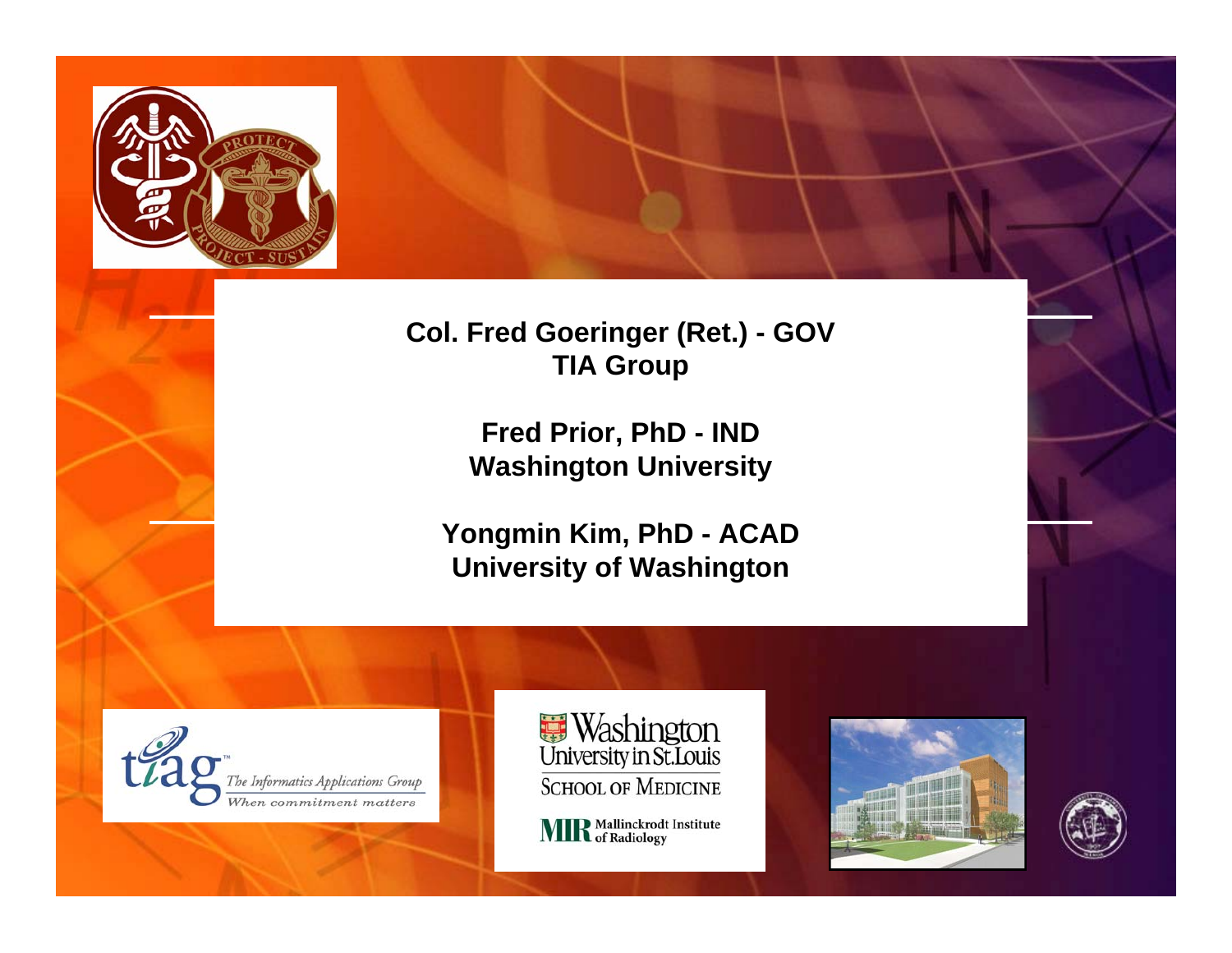

**Col. Fred Goeringer (Ret.) - GOV TIA Group**

> **Fred Prior, PhD - IND Washington University**

**Yongmin Kim, PhD - ACAD University of Washington**





**MIR** Mallinckrodt Institute



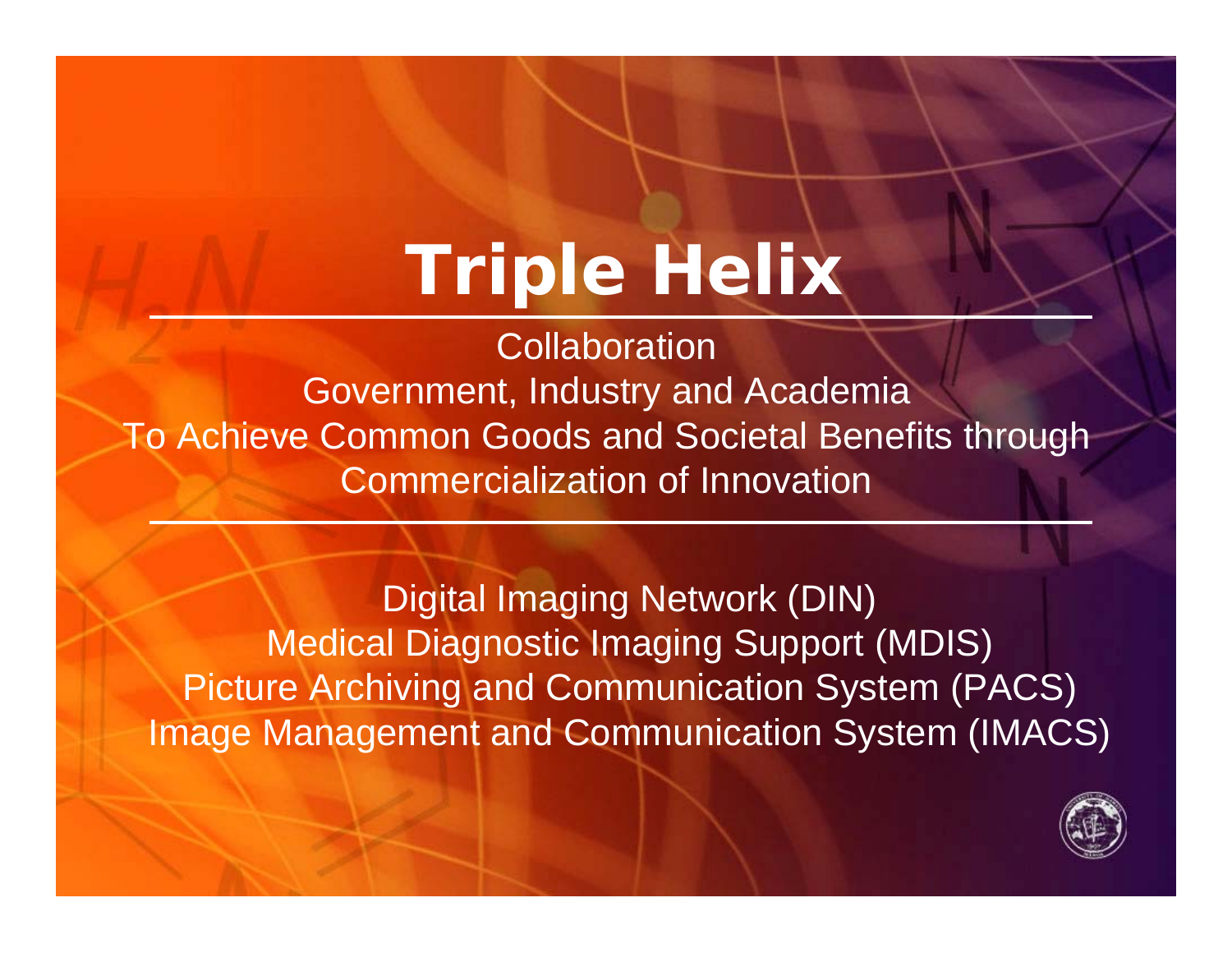## **Triple Helix**

**Collaboration** Government, Industry and Academia To Achieve Common Goods and Societal Benefits through Commercialization of Innovation

Digital Imaging Network (DIN) Medical Diagnostic Imaging Support (MDIS) Picture Archiving and Communication System (PACS) Image Management and Communication System (IMACS)

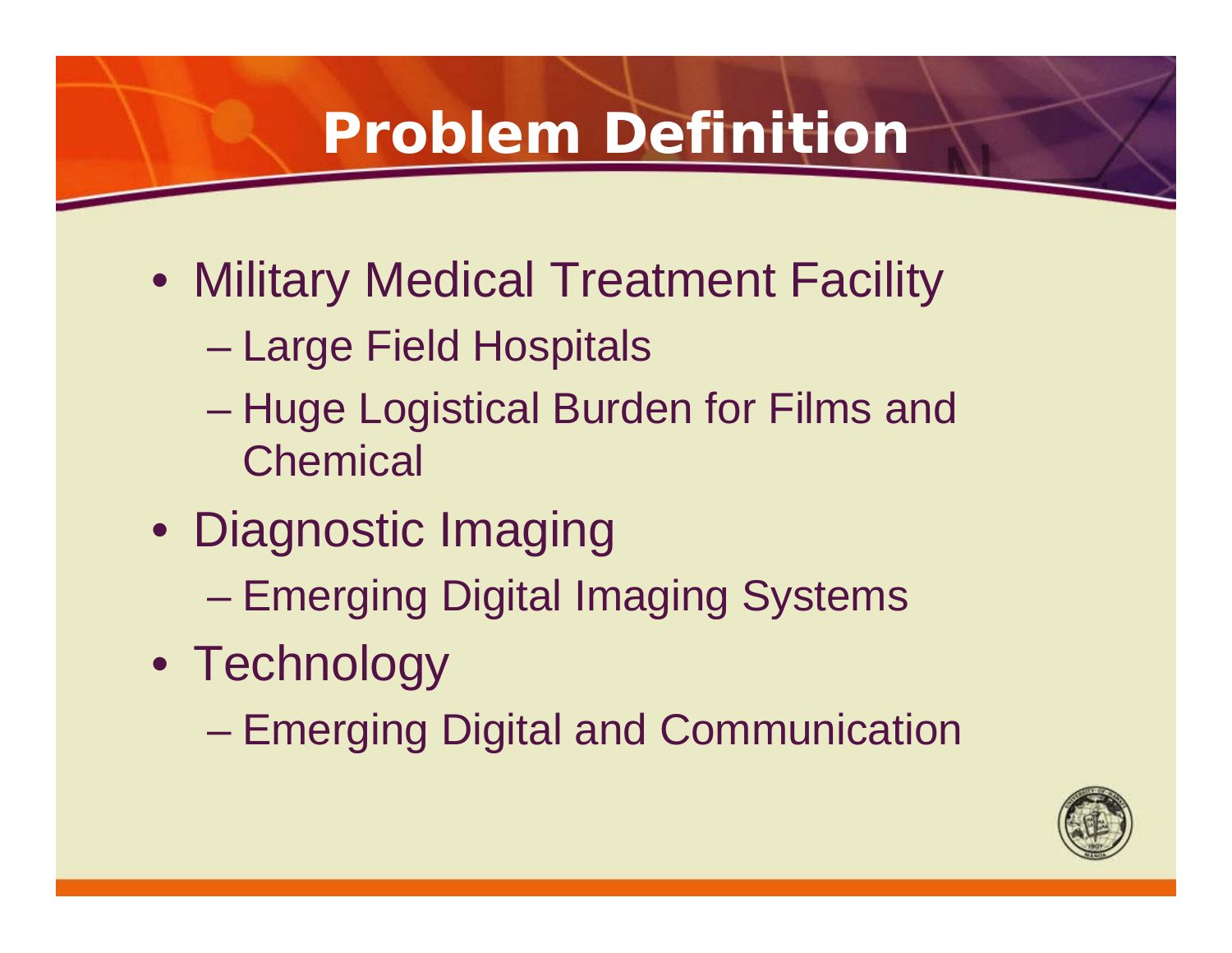### **Problem Definition**

- Military Medical Treatment Facility
	- Large Field Hospitals
	- Huge Logistical Burden for Films and **Chemical**
- Diagnostic Imaging
	- Emerging Digital Imaging Systems
- Technology
	- Emerging Digital and Communication

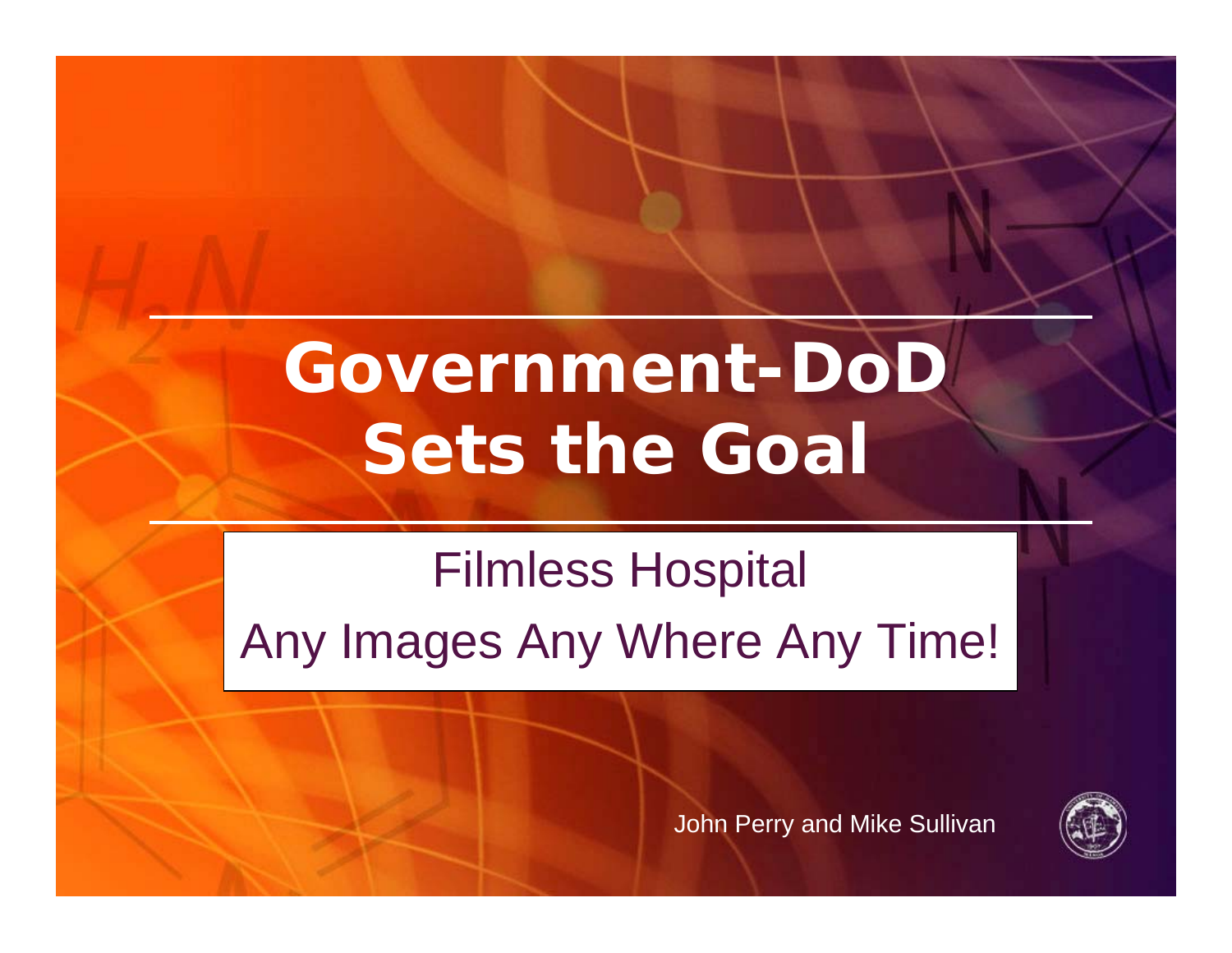# **Government-DoD Sets the Goal**

## Filmless Hospital Any Images Any Where Any Time!



John Perry and Mike Sullivan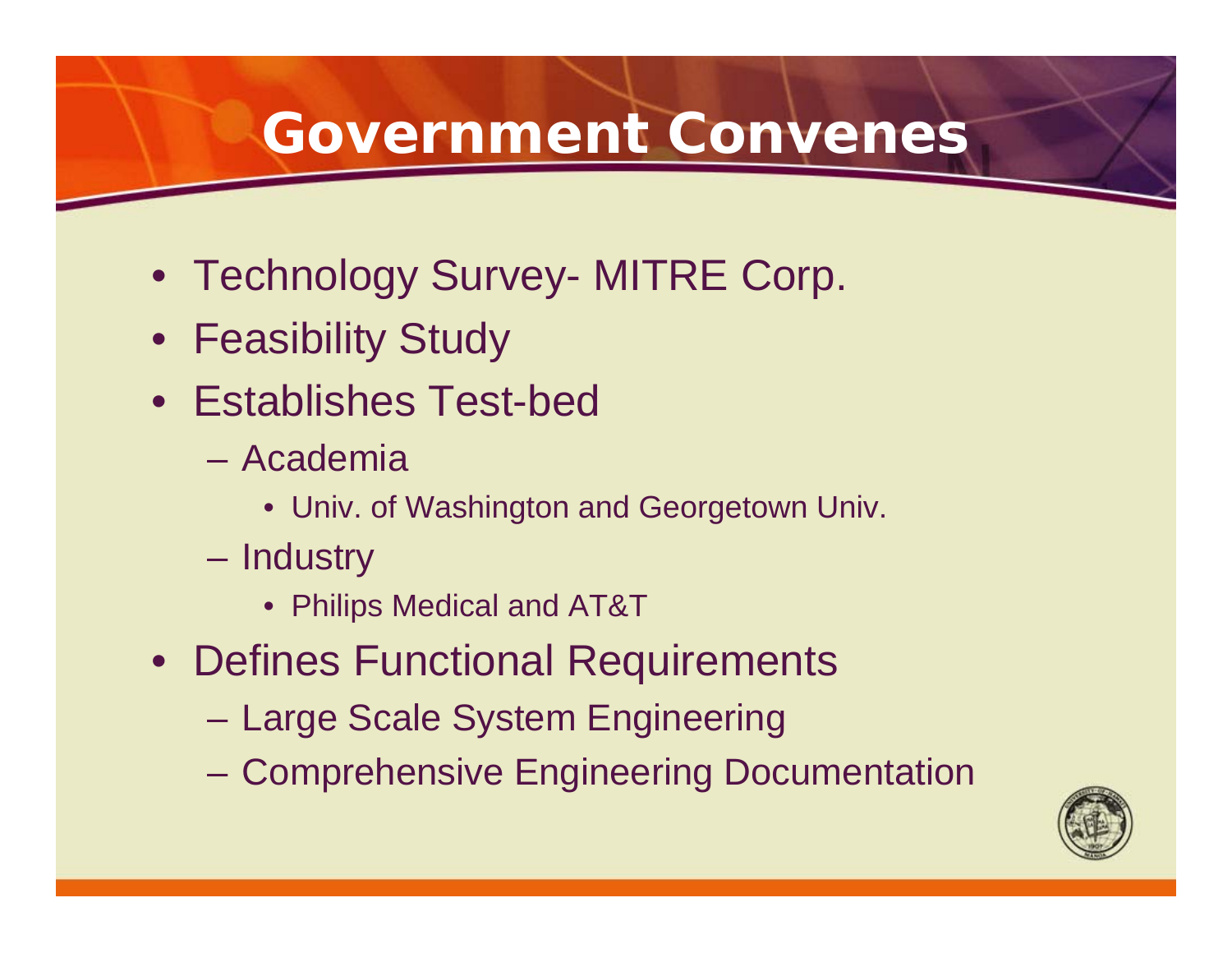### **Government Convenes**

- Technology Survey- MITRE Corp.
- Feasibility Study
- Establishes Test-bed
	- Academia
		- Univ. of Washington and Georgetown Univ.
	- Industry
		- Philips Medical and AT&T
- Defines Functional Requirements
	- Large Scale System Engineering
	- Comprehensive Engineering Documentation

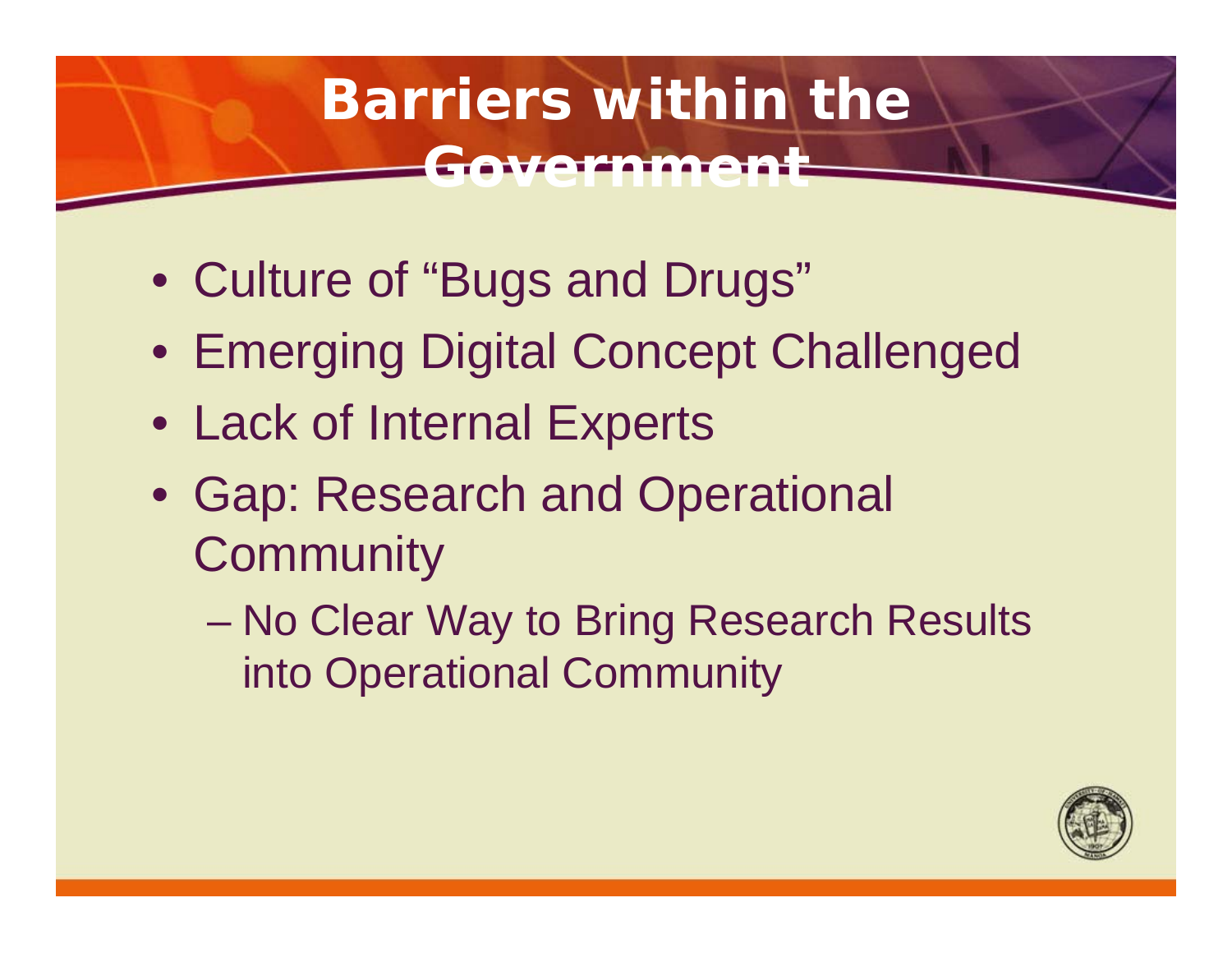### **Barriers within the GIVARDIMAR**

- Culture of "Bugs and Drugs"
- Emerging Digital Concept Challenged
- Lack of Internal Experts
- Gap: Research and Operational **Community** 
	- No Clear Way to Bring Research Results into Operational Community

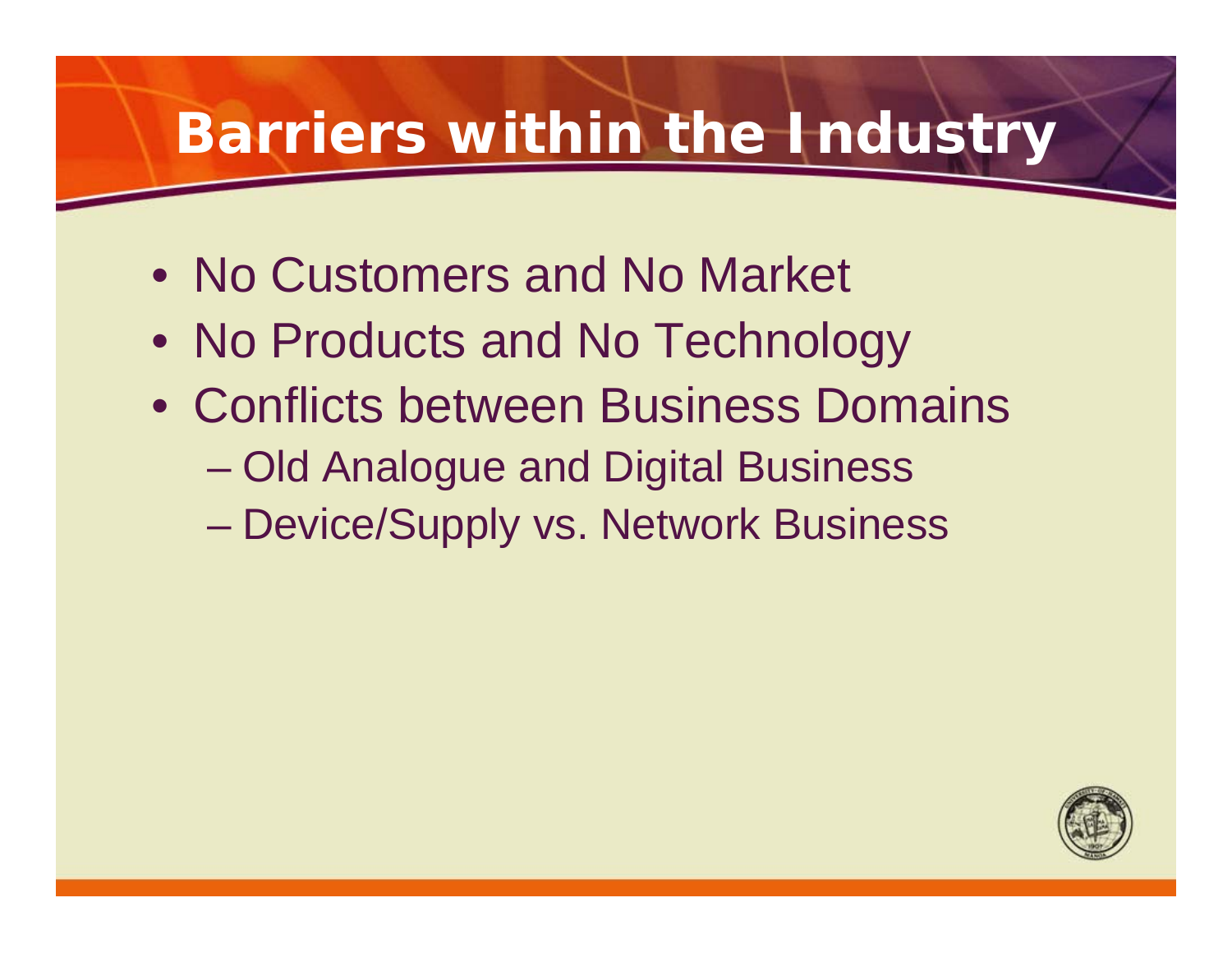### **Barriers within the Industry**

- No Customers and No Market
- No Products and No Technology
- Conflicts between Business Domains
	- Old Analogue and Digital Business
	- Device/Supply vs. Network Business

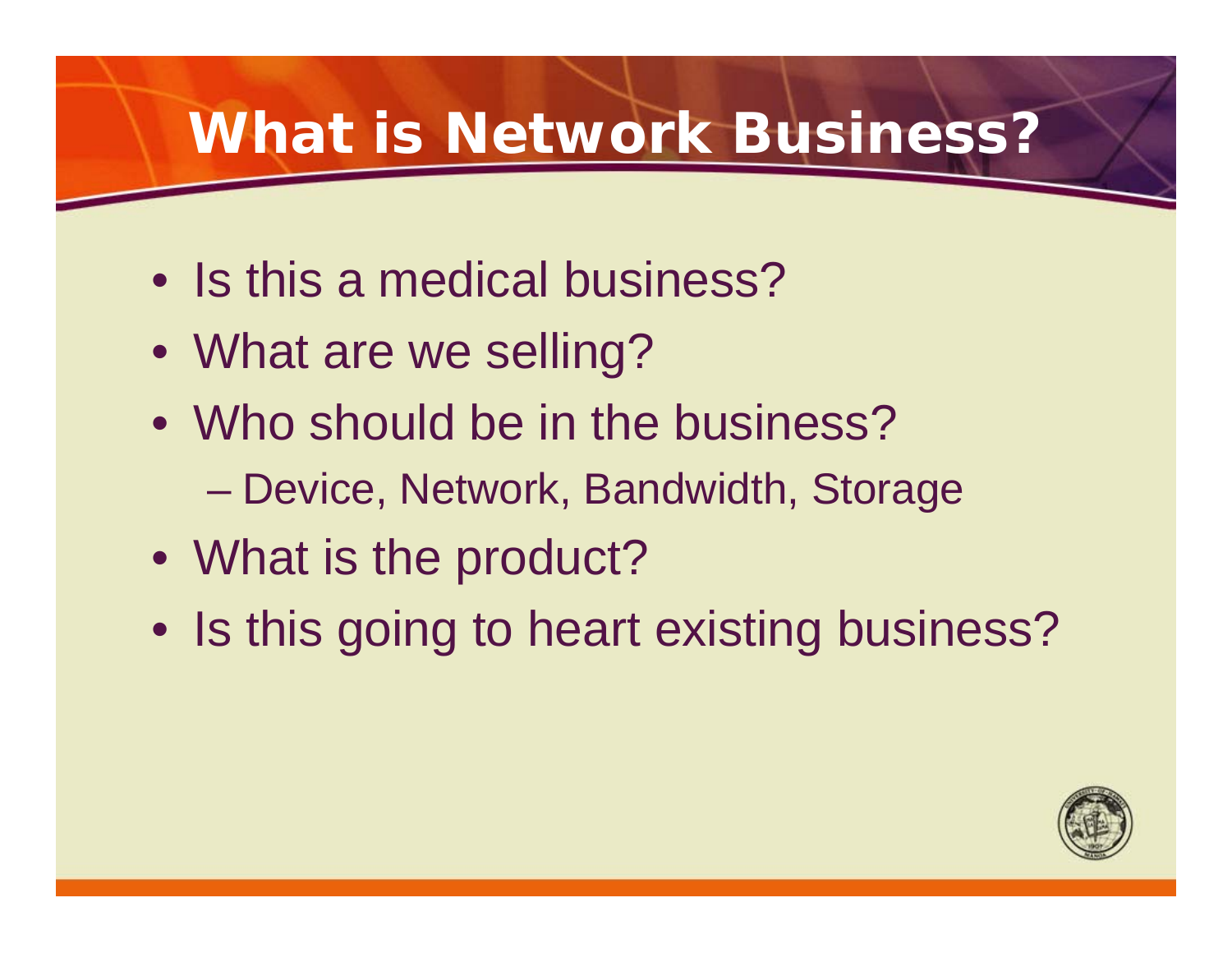### **What is Network Business?**

- Is this a medical business?
- What are we selling?
- Who should be in the business?
	- Device, Network, Bandwidth, Storage
- What is the product?
- Is this going to heart existing business?

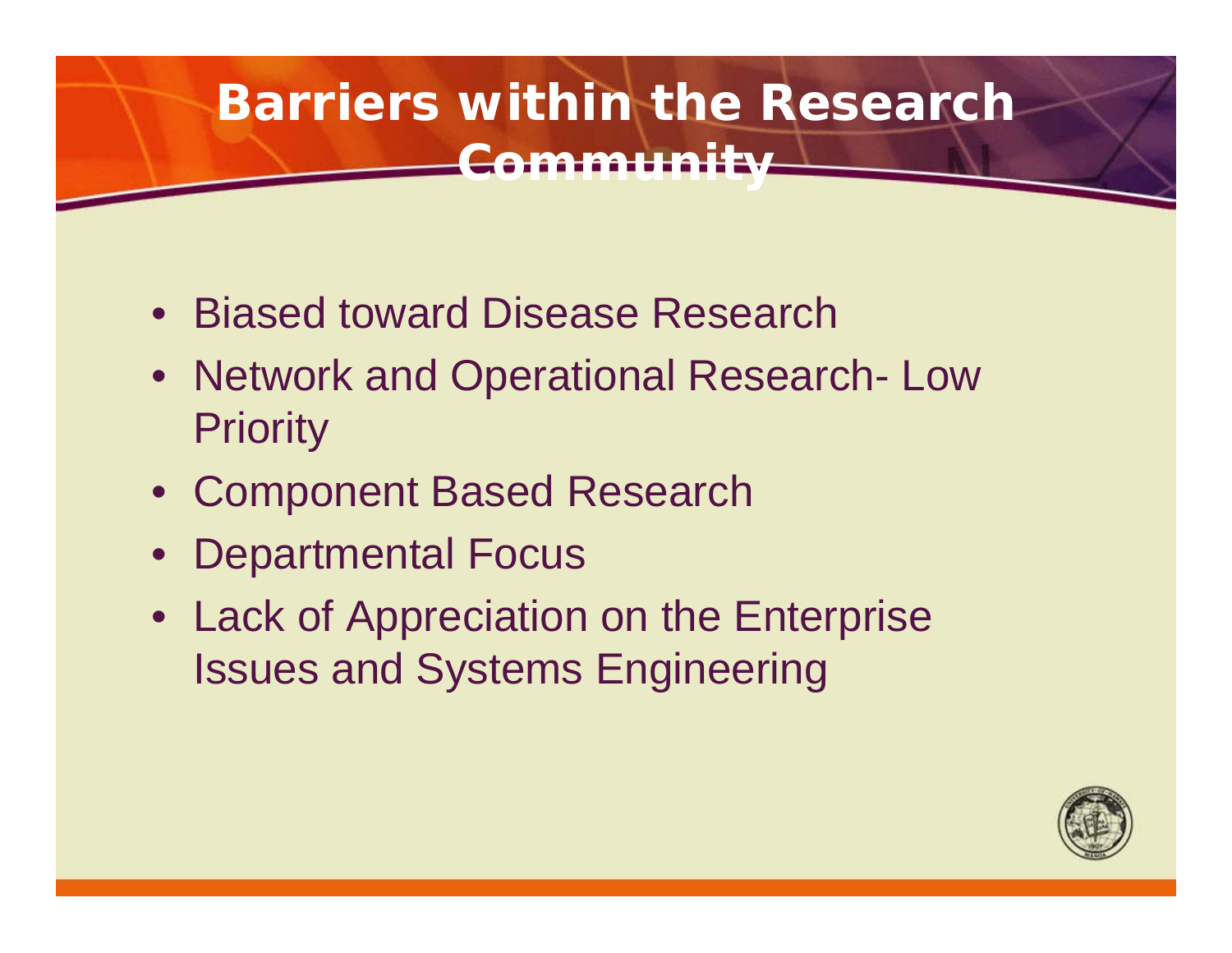### **Barriers within the Research Community**

- Biased toward Disease Research
- Network and Operational Research- Low **Priority**
- Component Based Research
- Departmental Focus
- Lack of Appreciation on the Enterprise Issues and Systems Engineering

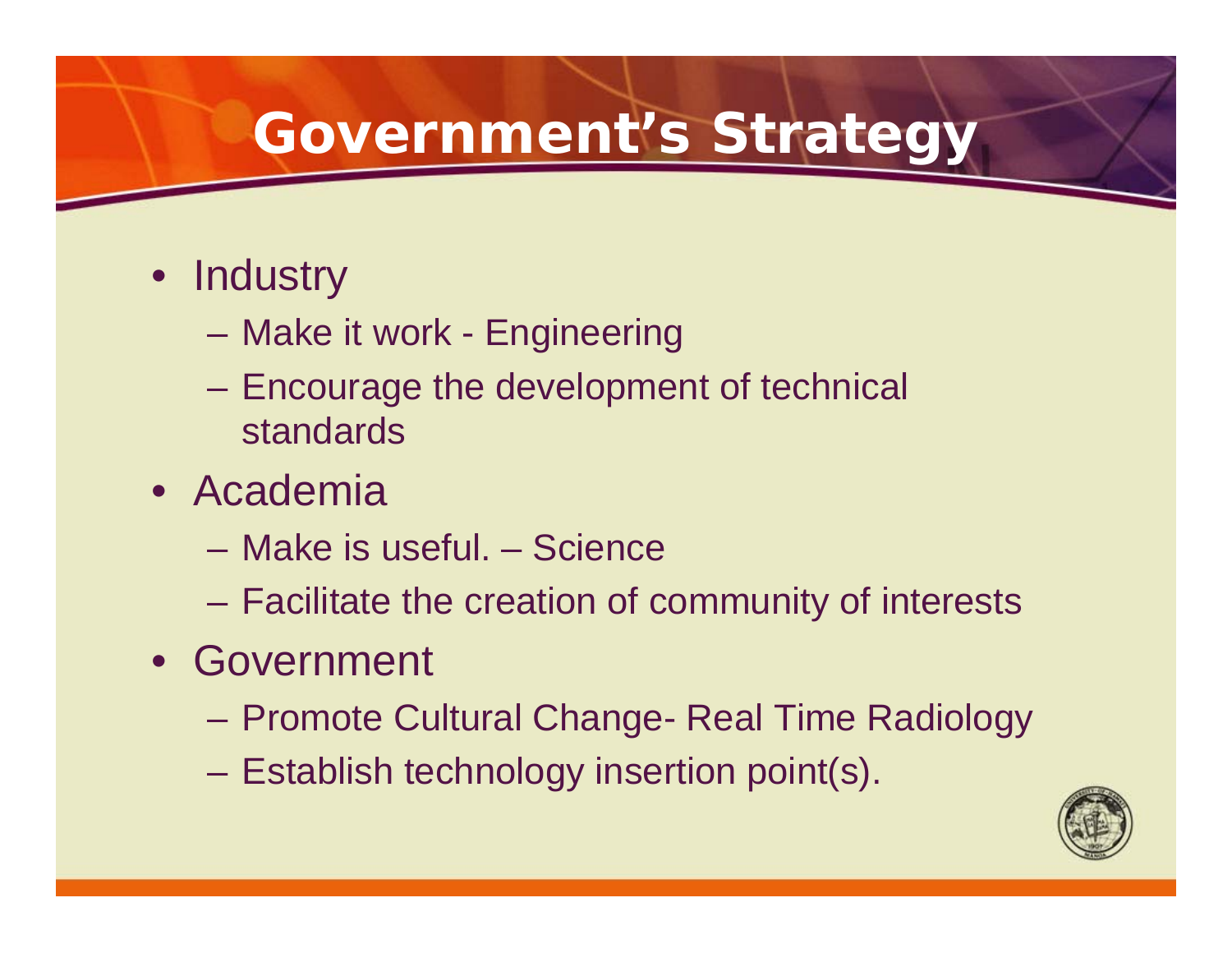### **Government's Strategy**

- Industry
	- Make it work Engineering
	- Encourage the development of technical standards
- Academia
	- Make is useful. Science
	- Facilitate the creation of community of interests
- Government
	- Promote Cultural Change- Real Time Radiology
	- Establish technology insertion point(s).

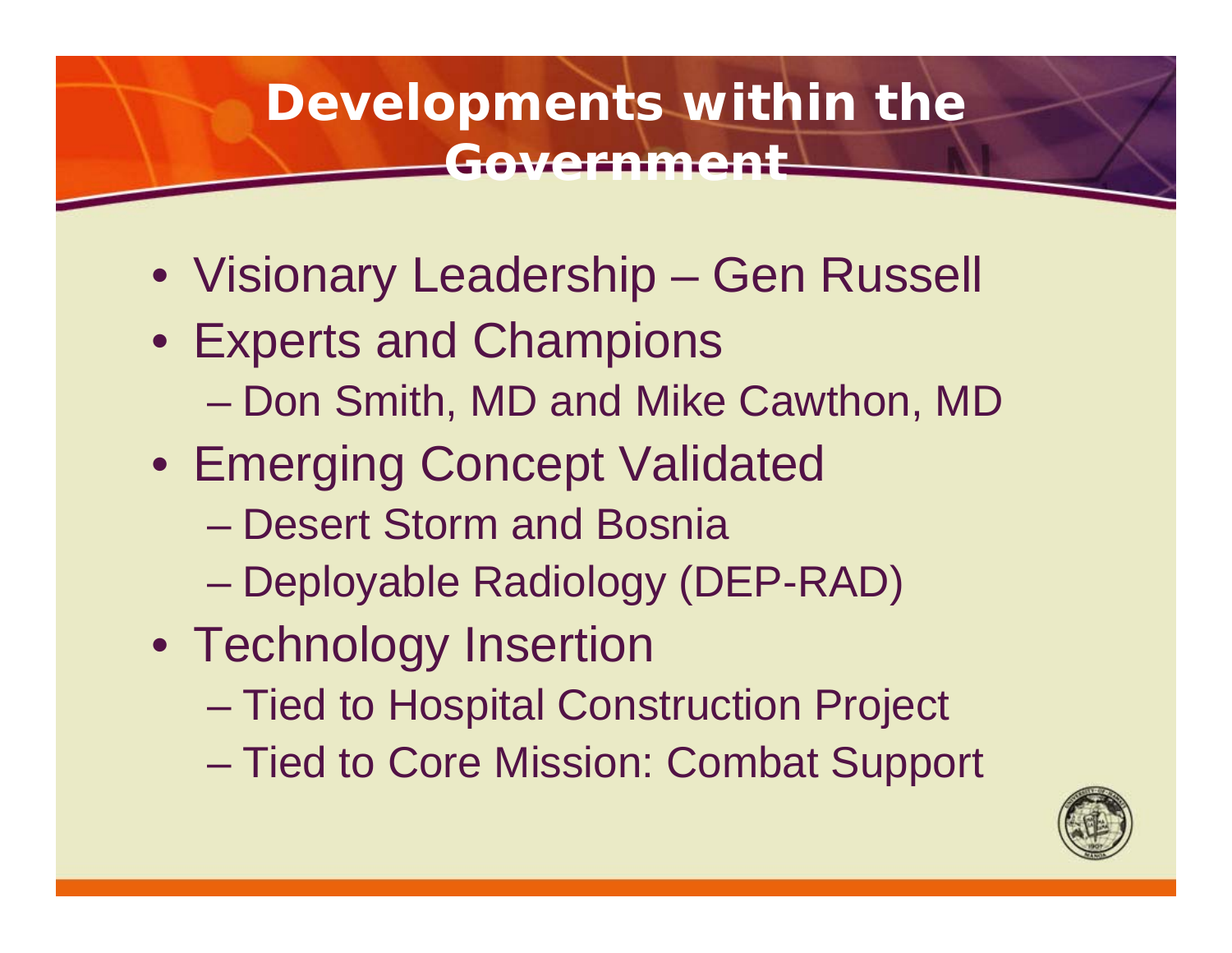### **Developments within the Government**

- Visionary Leadership Gen Russell
- Experts and Champions
	- Don Smith, MD and Mike Cawthon, MD
- Emerging Concept Validated
	- Desert Storm and Bosnia
	- Deployable Radiology (DEP-RAD)
- Technology Insertion
	- Tied to Hospital Construction Project
	- Tied to Core Mission: Combat Support

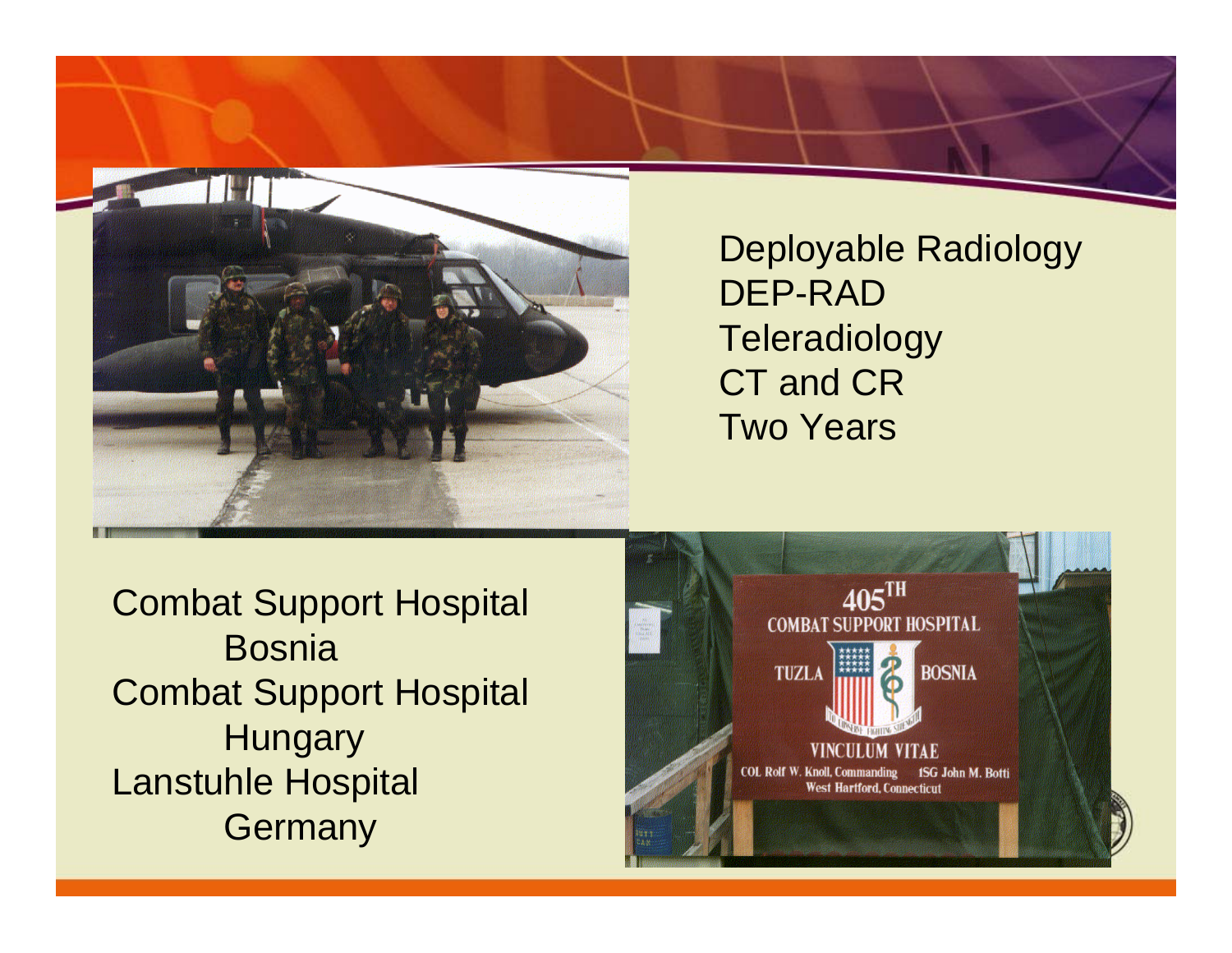

Deployable Radiology DEP-RAD**Teleradiology** CT and CRTwo Years

Combat Support Hospital **Bosnia** Combat Support Hospital **Hungary** Lanstuhle Hospital **Germany** 

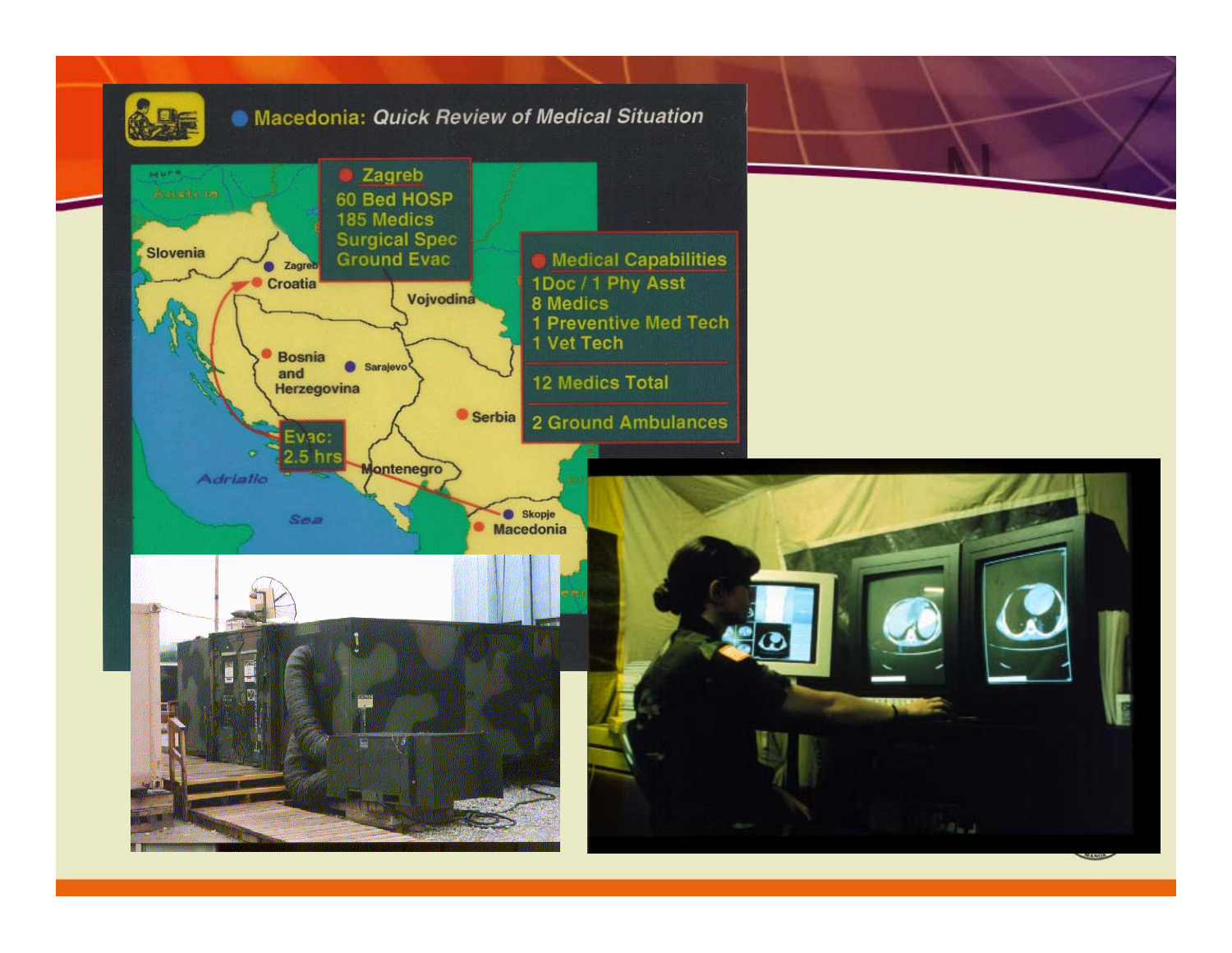

### Macedonia: Quick Review of Medical Situation

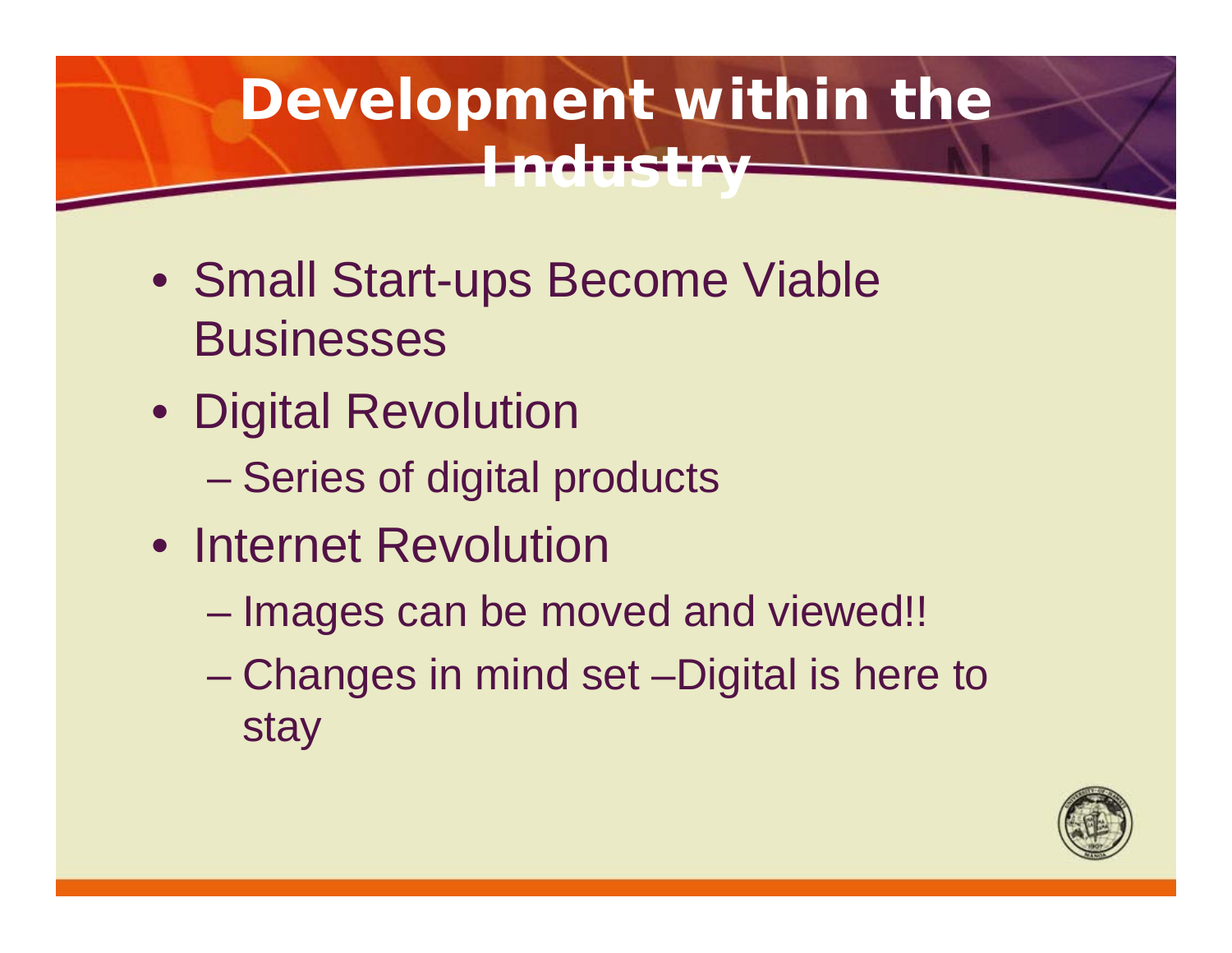### **Development within the Industry**

- Small Start-ups Become Viable **Businesses**
- Digital Revolution
	- Series of digital products
- Internet Revolution
	- Images can be moved and viewed!!
	- Changes in mind set –Digital is here to stay

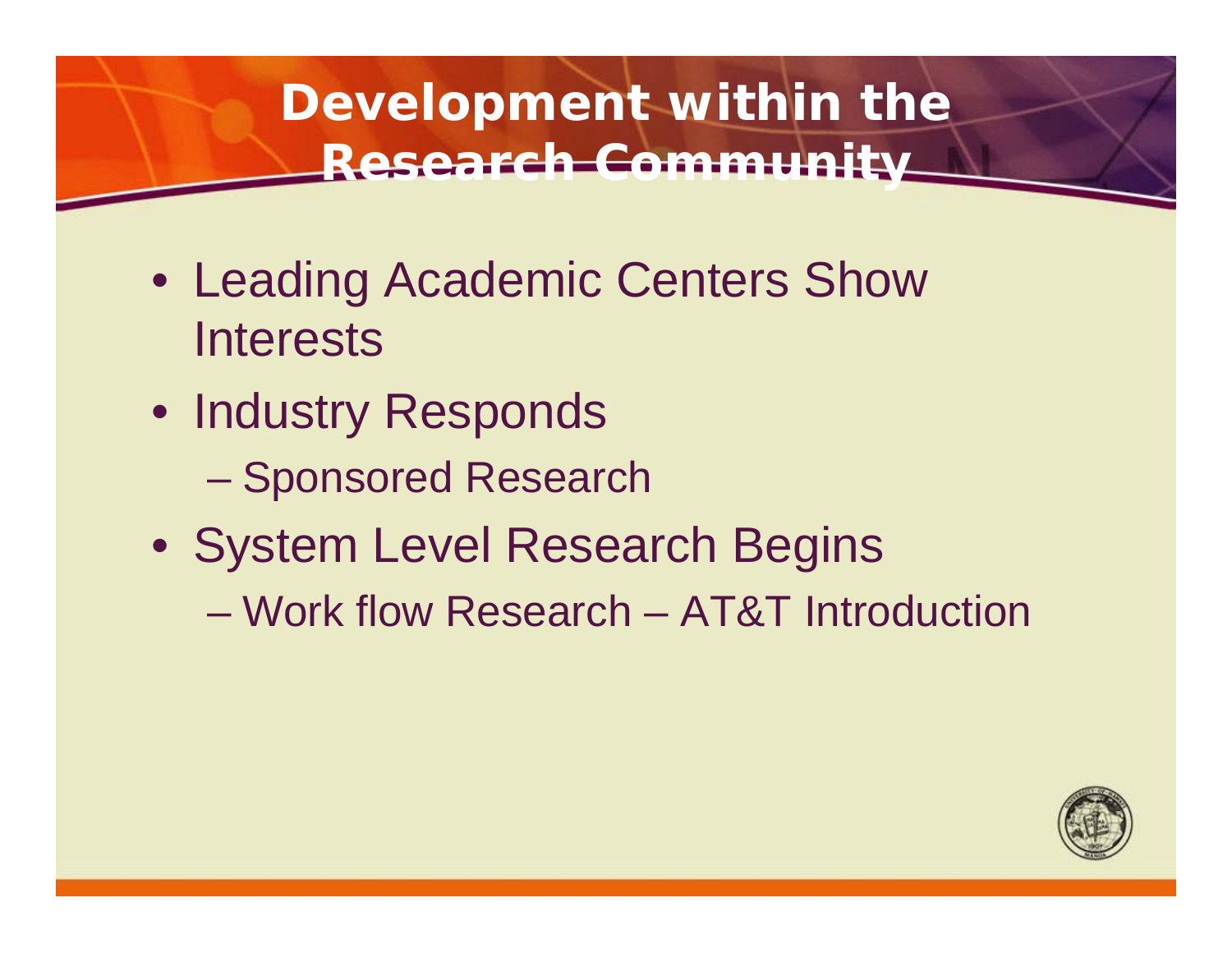### **Development within the Research Community**

- Leading Academic Centers Show **Interests**
- Industry Responds
	- Sponsored Research
- System Level Research Begins

– Work flow Research – AT&T Introduction

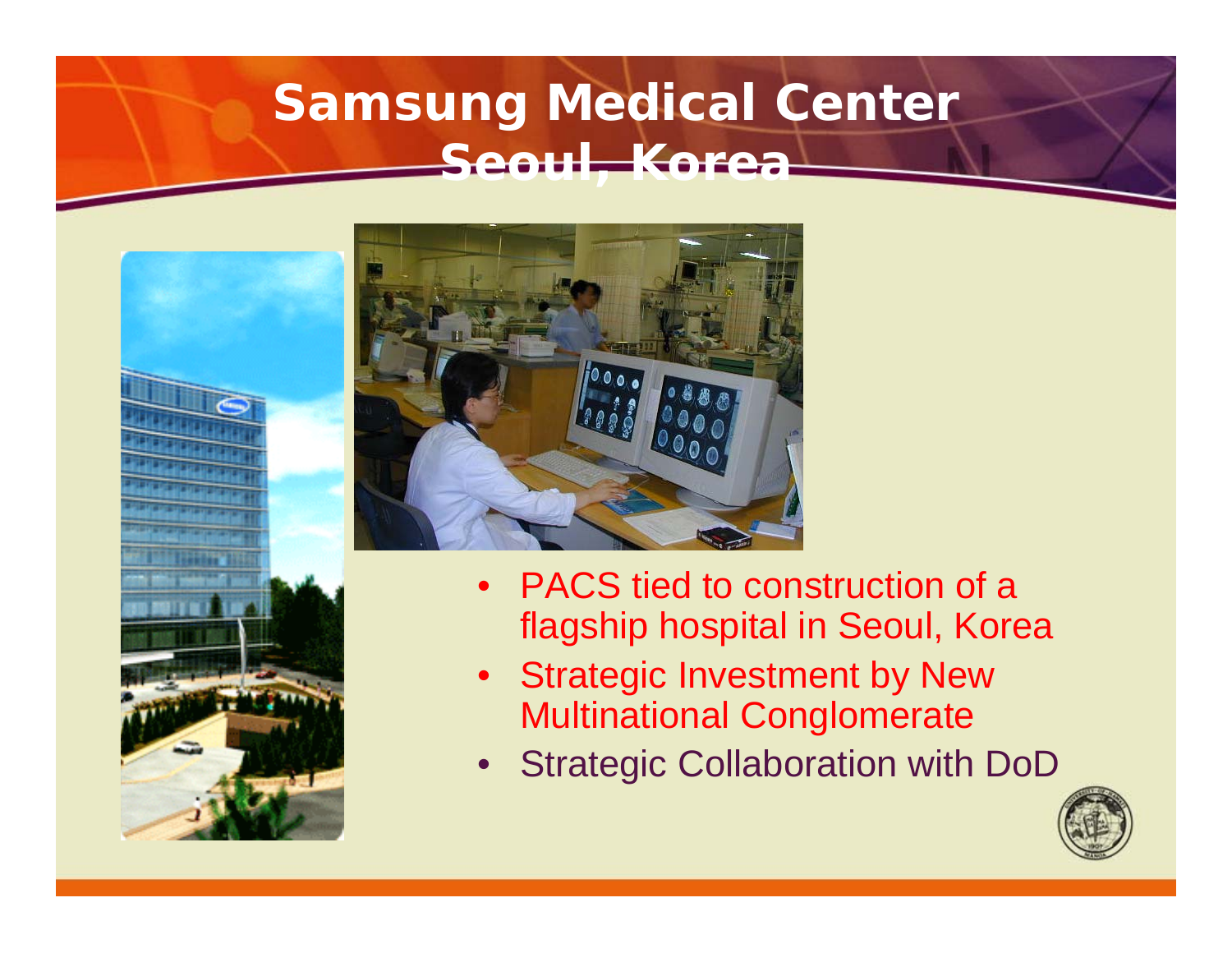### **Samsung Medical Center Seoul, Korea**





- PACS tied to construction of a flagship hospital in Seoul, Korea
- Strategic Investment by New Multinational Conglomerate
- Strategic Collaboration with DoD

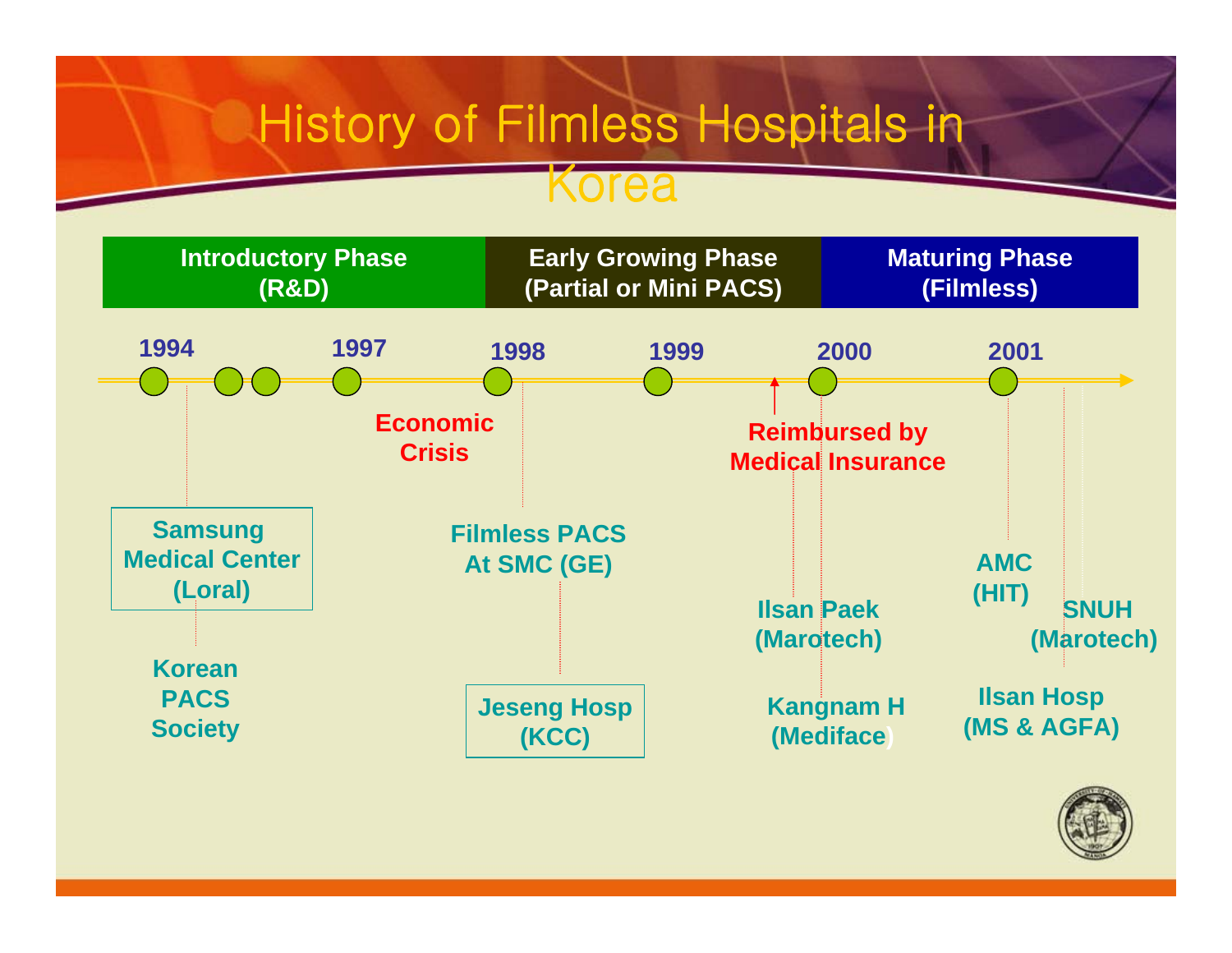### **History of Filmless Hospitals in**

### Korea



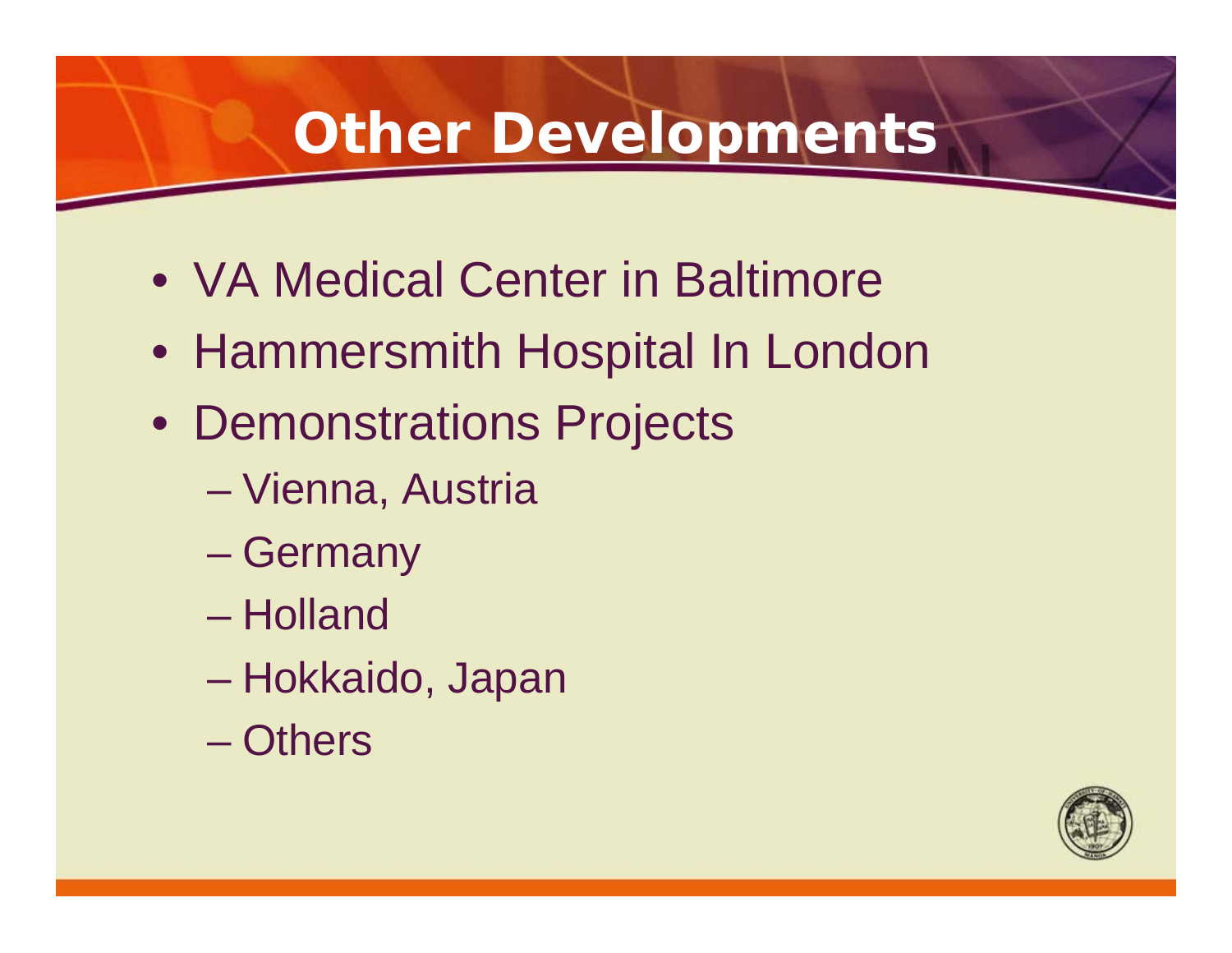### **Other Developments**

- VA Medical Center in Baltimore
- Hammersmith Hospital In London
- Demonstrations Projects
	- Vienna, Austria
	- Germany
	- Holland
	- Hokkaido, Japan
	- Others

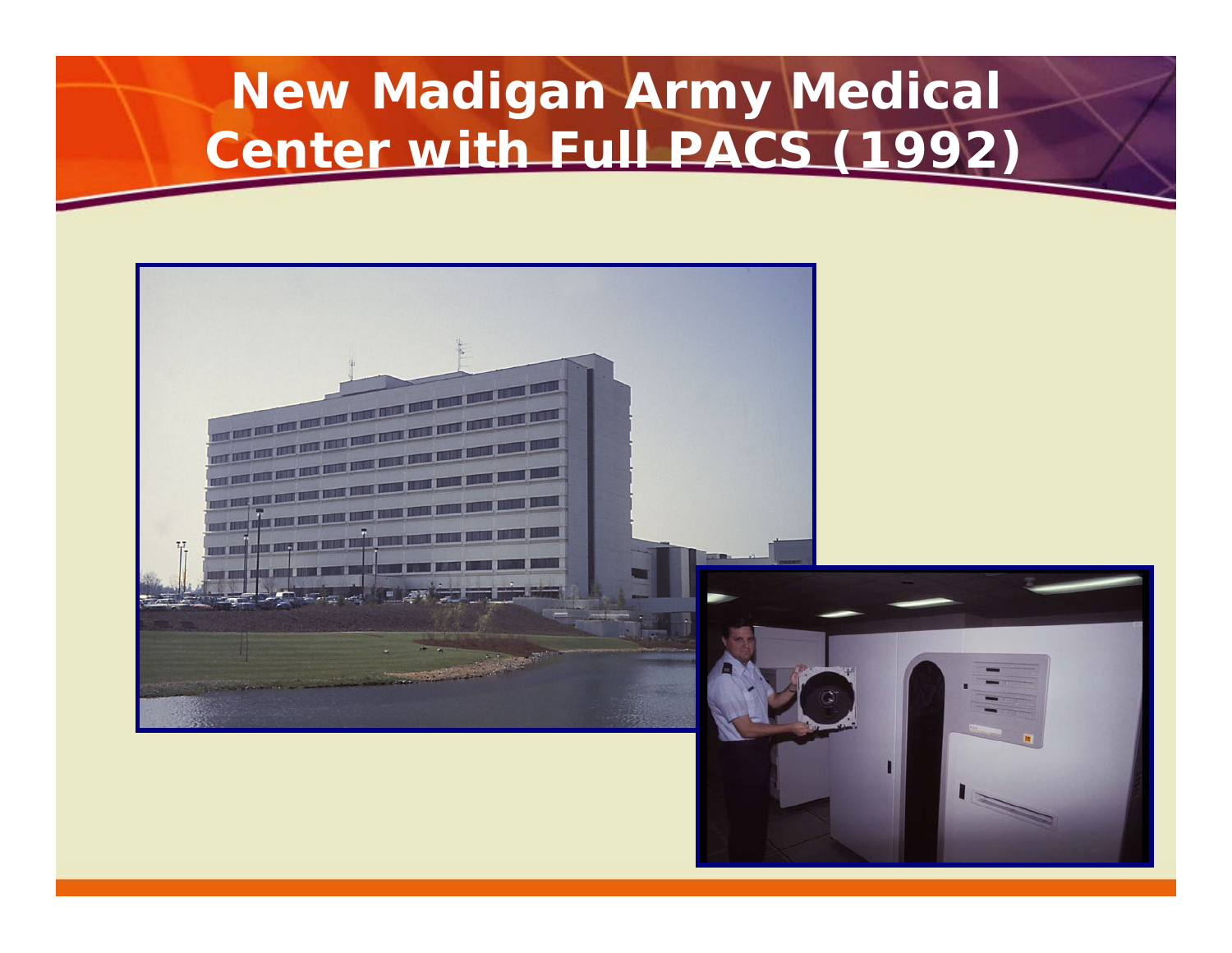### **New Madigan Army Medical Center with Full PACS (1992)**

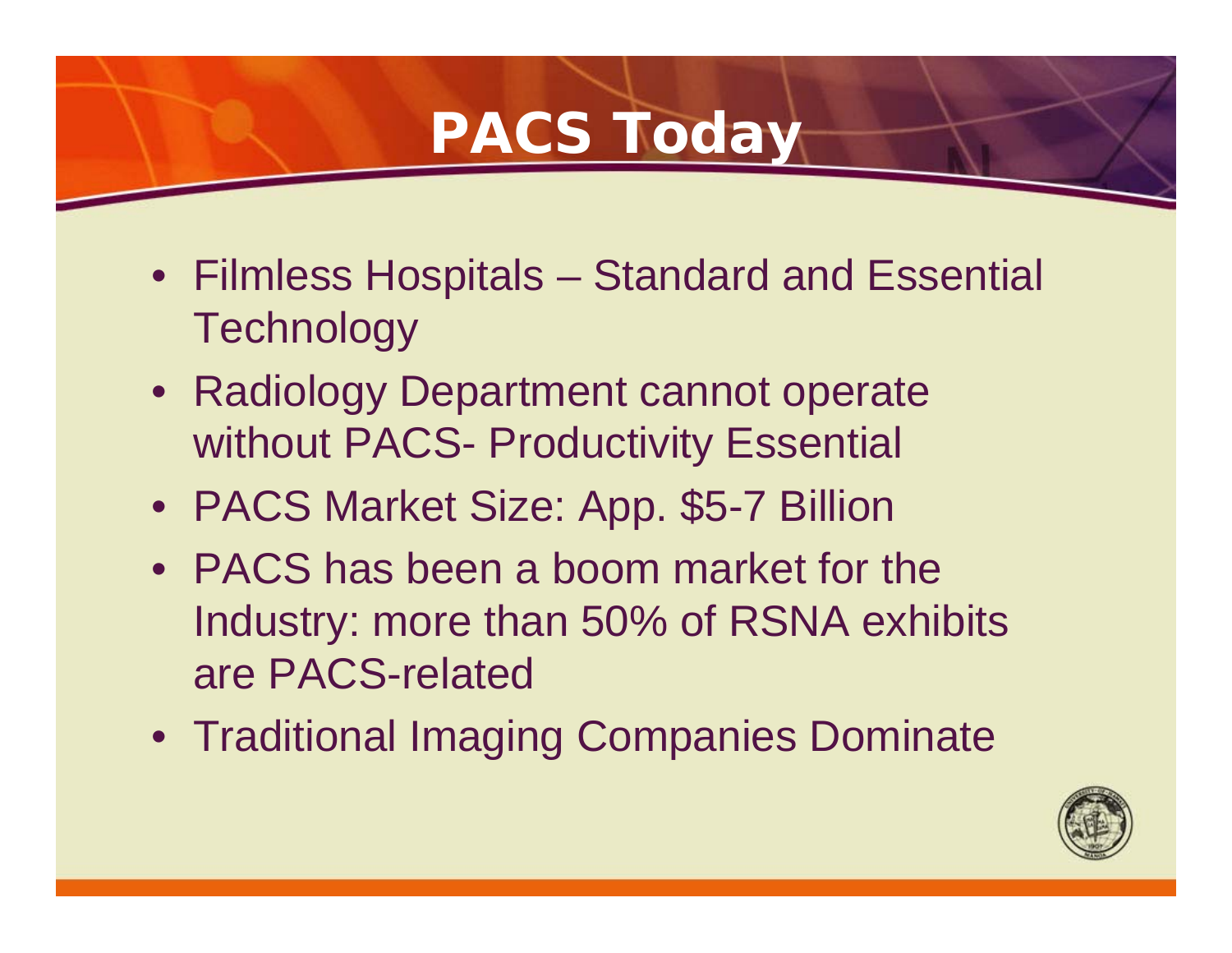### **PACS Today**

- Filmless Hospitals Standard and Essential **Technology**
- Radiology Department cannot operate without PACS- Productivity Essential
- PACS Market Size: App. \$5-7 Billion
- PACS has been a boom market for the Industry: more than 50% of RSNA exhibits are PACS-related
- Traditional Imaging Companies Dominate

![](_page_21_Picture_6.jpeg)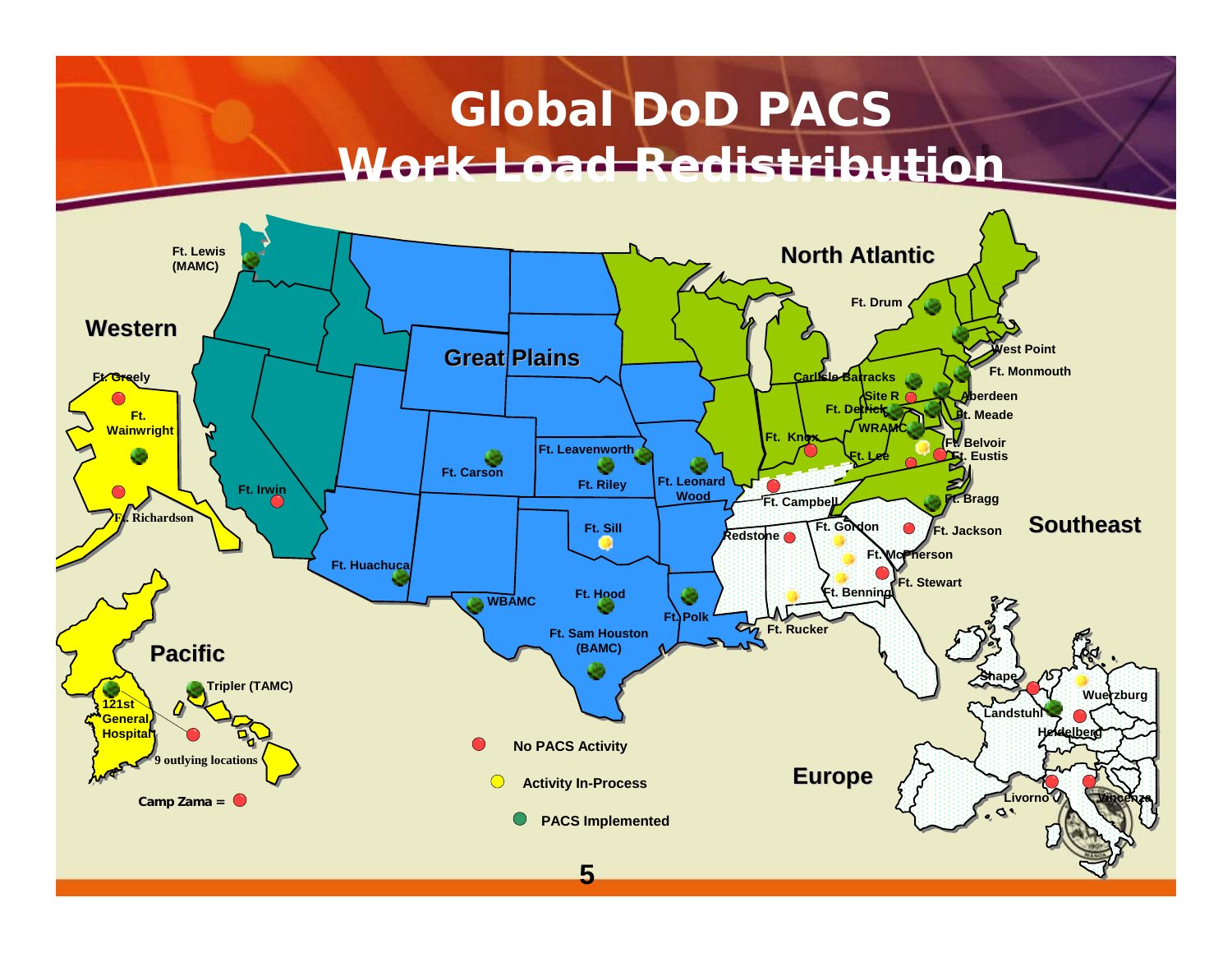### **Global DoD PACS Work Load Redistribution**

![](_page_22_Figure_1.jpeg)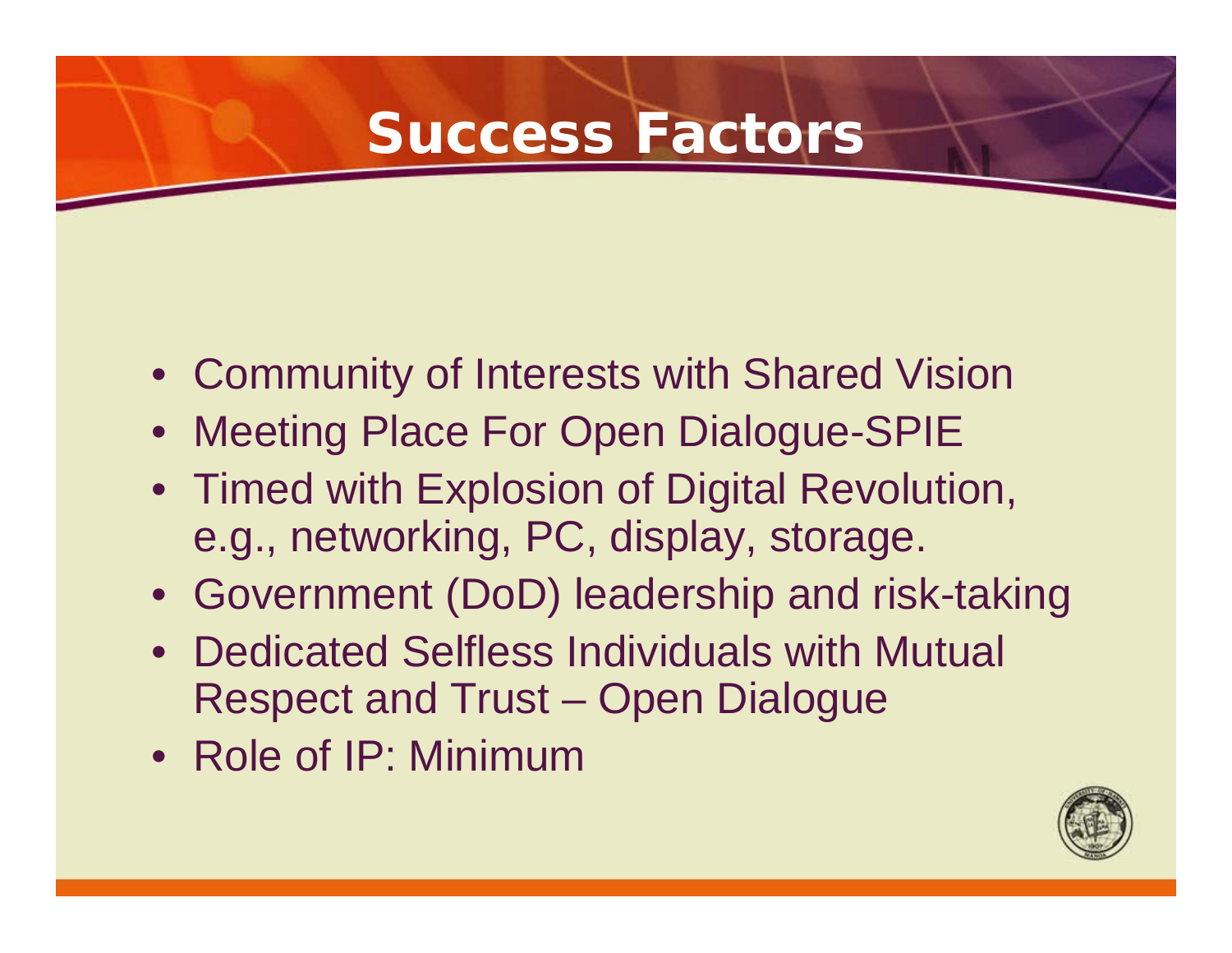### **Success Factors**

- Community of Interests with Shared Vision
- Meeting Place For Open Dialogue-SPIE
- Timed with Explosion of Digital Revolution, e.g., networking, PC, display, storage.
- Government (DoD) leadership and risk-taking
- Dedicated Selfless Individuals with Mutual Respect and Trust – Open Dialogue
- Role of IP: Minimum

![](_page_23_Picture_7.jpeg)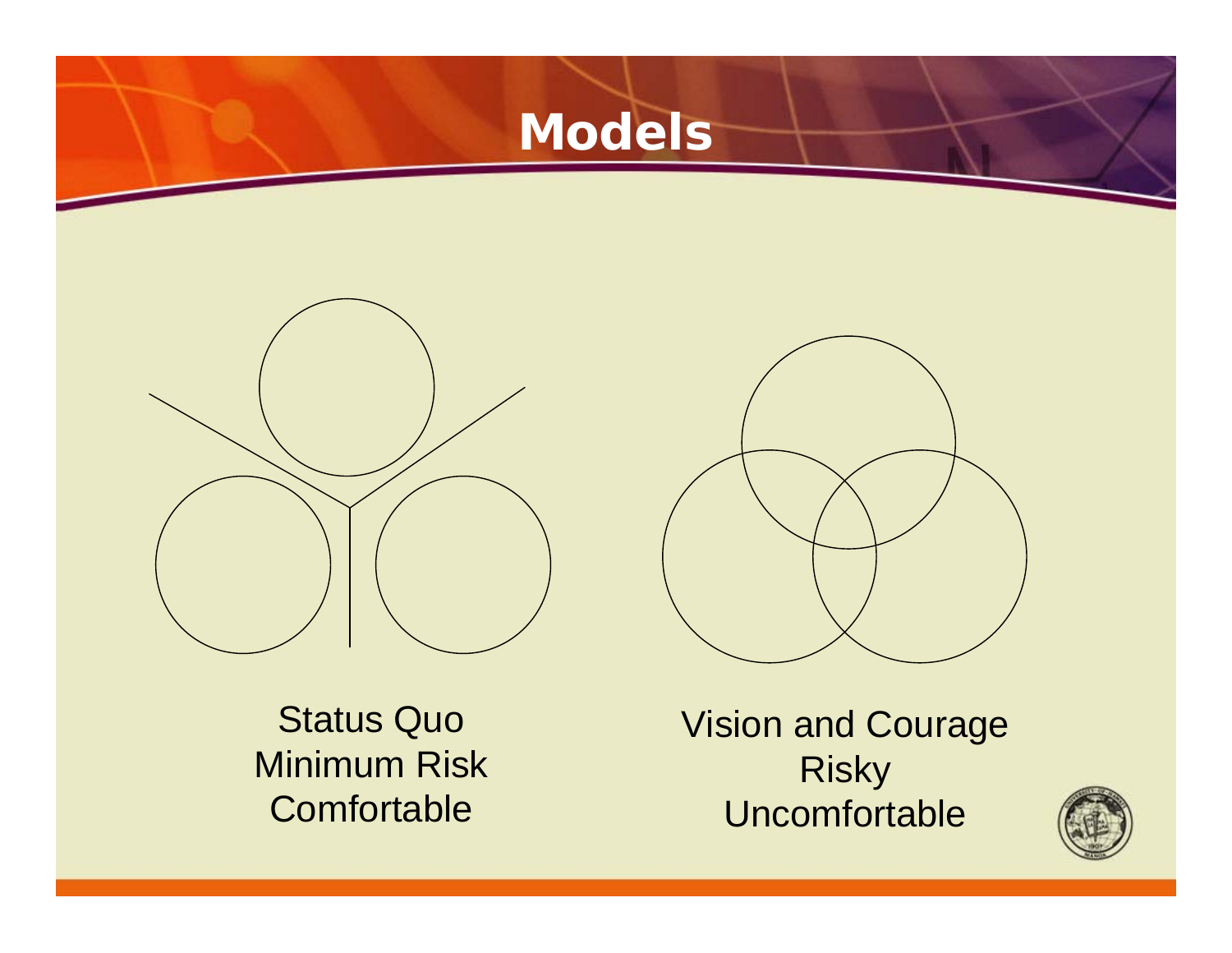![](_page_24_Picture_0.jpeg)

![](_page_24_Picture_1.jpeg)

Status Quo Minimum Risk **Comfortable** 

Vision and Courage Risky Uncomfortable

![](_page_24_Picture_4.jpeg)